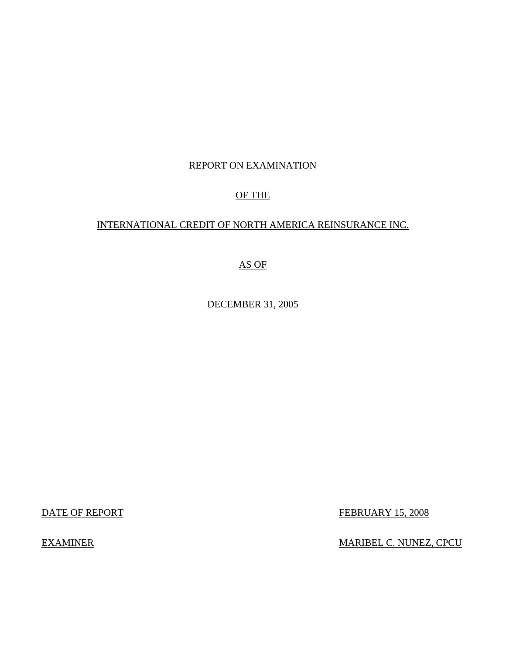# REPORT ON EXAMINATION

# OF THE

# INTERNATIONAL CREDIT OF NORTH AMERICA REINSURANCE INC.

# AS OF

# DECEMBER 31, 2005

DATE OF REPORT FEBRUARY 15, 2008

EXAMINER MARIBEL C. NUNEZ, CPCU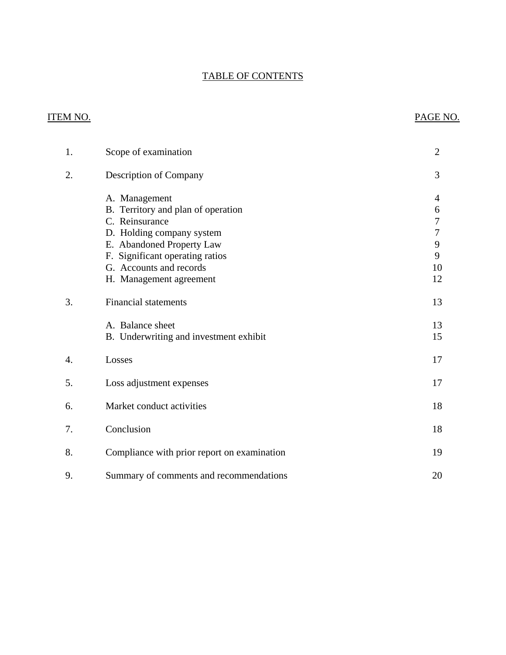# TABLE OF CONTENTS

# **ITEM NO.**

# PAGE NO.

| 1. | Scope of examination                                                                                                                                                                                                     | $\overline{2}$                              |
|----|--------------------------------------------------------------------------------------------------------------------------------------------------------------------------------------------------------------------------|---------------------------------------------|
| 2. | Description of Company                                                                                                                                                                                                   | 3                                           |
|    | A. Management<br>B. Territory and plan of operation<br>C. Reinsurance<br>D. Holding company system<br>E. Abandoned Property Law<br>F. Significant operating ratios<br>G. Accounts and records<br>H. Management agreement | 4<br>6<br>7<br>$\tau$<br>9<br>9<br>10<br>12 |
| 3. | <b>Financial statements</b>                                                                                                                                                                                              | 13                                          |
|    | A. Balance sheet<br>B. Underwriting and investment exhibit                                                                                                                                                               | 13<br>15                                    |
| 4. | Losses                                                                                                                                                                                                                   | 17                                          |
| 5. | Loss adjustment expenses                                                                                                                                                                                                 | 17                                          |
| 6. | Market conduct activities                                                                                                                                                                                                | 18                                          |
| 7. | Conclusion                                                                                                                                                                                                               | 18                                          |
| 8. | Compliance with prior report on examination                                                                                                                                                                              | 19                                          |
| 9. | Summary of comments and recommendations                                                                                                                                                                                  | 20                                          |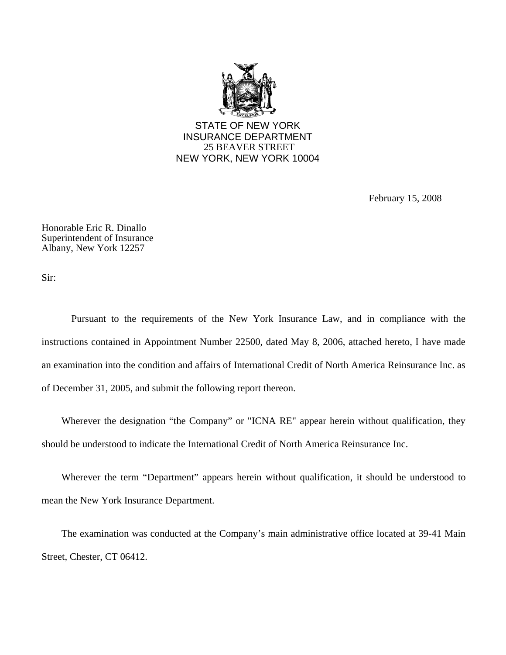

February 15, 2008

Honorable Eric R. Dinallo Superintendent of Insurance Albany, New York 12257

Sir:

Pursuant to the requirements of the New York Insurance Law, and in compliance with the instructions contained in Appointment Number 22500, dated May 8, 2006, attached hereto, I have made an examination into the condition and affairs of International Credit of North America Reinsurance Inc. as of December 31, 2005, and submit the following report thereon.

Wherever the designation "the Company" or "ICNA RE" appear herein without qualification, they should be understood to indicate the International Credit of North America Reinsurance Inc.

Wherever the term "Department" appears herein without qualification, it should be understood to mean the New York Insurance Department.

The examination was conducted at the Company's main administrative office located at 39-41 Main Street, Chester, CT 06412.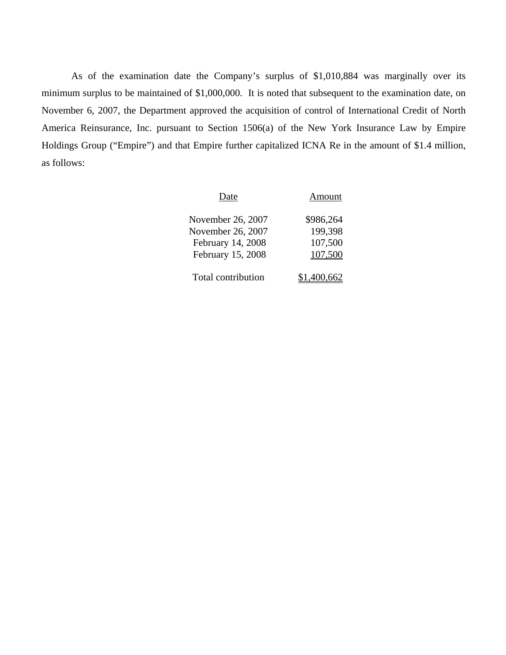As of the examination date the Company's surplus of \$1,010,884 was marginally over its minimum surplus to be maintained of \$1,000,000. It is noted that subsequent to the examination date, on November 6, 2007, the Department approved the acquisition of control of International Credit of North America Reinsurance, Inc. pursuant to Section 1506(a) of the New York Insurance Law by Empire Holdings Group ("Empire") and that Empire further capitalized ICNA Re in the amount of \$1.4 million, as follows:

| Date               | Amount    |
|--------------------|-----------|
| November 26, 2007  | \$986,264 |
| November 26, 2007  | 199,398   |
| February 14, 2008  | 107,500   |
| February 15, 2008  | 107,500   |
|                    |           |
| Total contribution |           |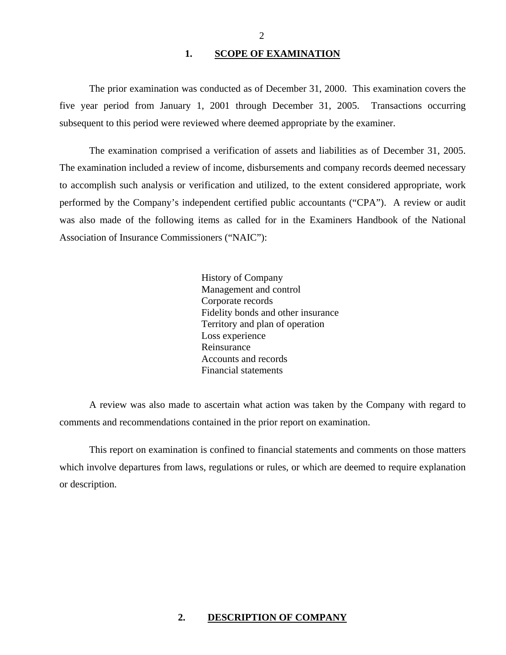### 1. SCOPE OF EXAMINATION

<span id="page-4-0"></span>The prior examination was conducted as of December 31, 2000. This examination covers the five year period from January 1, 2001 through December 31, 2005. Transactions occurring subsequent to this period were reviewed where deemed appropriate by the examiner.

The examination comprised a verification of assets and liabilities as of December 31, 2005. The examination included a review of income, disbursements and company records deemed necessary to accomplish such analysis or verification and utilized, to the extent considered appropriate, work performed by the Company's independent certified public accountants ("CPA"). A review or audit was also made of the following items as called for in the Examiners Handbook of the National Association of Insurance Commissioners ("NAIC"):

> History of Company Management and control Corporate records Fidelity bonds and other insurance Territory and plan of operation Loss experience Reinsurance Accounts and records Financial statements

A review was also made to ascertain what action was taken by the Company with regard to comments and recommendations contained in the prior report on examination.

This report on examination is confined to financial statements and comments on those matters which involve departures from laws, regulations or rules, or which are deemed to require explanation or description.

### **2. DESCRIPTION OF COMPANY**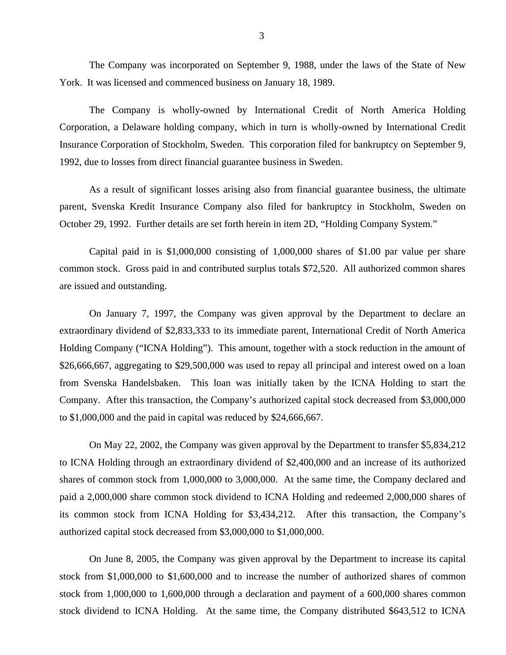<span id="page-5-0"></span>The Company was incorporated on September 9, 1988, under the laws of the State of New York. It was licensed and commenced business on January 18, 1989.

The Company is wholly-owned by International Credit of North America Holding Corporation, a Delaware holding company, which in turn is wholly-owned by International Credit Insurance Corporation of Stockholm, Sweden. This corporation filed for bankruptcy on September 9, 1992, due to losses from direct financial guarantee business in Sweden.

As a result of significant losses arising also from financial guarantee business, the ultimate parent, Svenska Kredit Insurance Company also filed for bankruptcy in Stockholm, Sweden on October 29, 1992. Further details are set forth herein in item 2D, "Holding Company System."

Capital paid in is \$1,000,000 consisting of 1,000,000 shares of \$1.00 par value per share common stock. Gross paid in and contributed surplus totals \$72,520. All authorized common shares are issued and outstanding.

On January 7, 1997, the Company was given approval by the Department to declare an extraordinary dividend of \$2,833,333 to its immediate parent, International Credit of North America Holding Company ("ICNA Holding"). This amount, together with a stock reduction in the amount of \$26,666,667, aggregating to \$29,500,000 was used to repay all principal and interest owed on a loan from Svenska Handelsbaken. This loan was initially taken by the ICNA Holding to start the Company. After this transaction, the Company's authorized capital stock decreased from \$3,000,000 to \$1,000,000 and the paid in capital was reduced by \$24,666,667.

On May 22, 2002, the Company was given approval by the Department to transfer \$5,834,212 to ICNA Holding through an extraordinary dividend of \$2,400,000 and an increase of its authorized shares of common stock from 1,000,000 to 3,000,000. At the same time, the Company declared and paid a 2,000,000 share common stock dividend to ICNA Holding and redeemed 2,000,000 shares of its common stock from ICNA Holding for \$3,434,212. After this transaction, the Company's authorized capital stock decreased from \$3,000,000 to \$1,000,000.

On June 8, 2005, the Company was given approval by the Department to increase its capital stock from \$1,000,000 to \$1,600,000 and to increase the number of authorized shares of common stock from 1,000,000 to 1,600,000 through a declaration and payment of a 600,000 shares common stock dividend to ICNA Holding. At the same time, the Company distributed \$643,512 to ICNA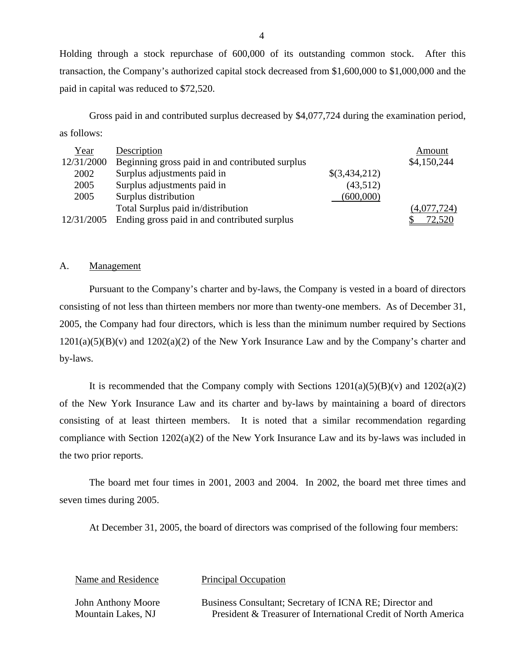Holding through a stock repurchase of 600,000 of its outstanding common stock. After this transaction, the Company's authorized capital stock decreased from \$1,600,000 to \$1,000,000 and the paid in capital was reduced to \$72,520.

Gross paid in and contributed surplus decreased by \$4,077,724 during the examination period, as follows:

| Year       | Description                                     |               | Amount      |
|------------|-------------------------------------------------|---------------|-------------|
| 12/31/2000 | Beginning gross paid in and contributed surplus |               | \$4,150,244 |
| 2002       | Surplus adjustments paid in                     | \$(3,434,212) |             |
| 2005       | Surplus adjustments paid in                     | (43,512)      |             |
| 2005       | Surplus distribution                            | (600,000)     |             |
|            | Total Surplus paid in/distribution              |               | (4,077,724) |
| 12/31/2005 | Ending gross paid in and contributed surplus    |               | 72,520      |

#### A. Management

Pursuant to the Company's charter and by-laws, the Company is vested in a board of directors consisting of not less than thirteen members nor more than twenty-one members. As of December 31, 2005, the Company had four directors, which is less than the minimum number required by Sections  $1201(a)(5)(B)(v)$  and  $1202(a)(2)$  of the New York Insurance Law and by the Company's charter and by-laws.

It is recommended that the Company comply with Sections  $1201(a)(5)(B)(v)$  and  $1202(a)(2)$ of the New York Insurance Law and its charter and by-laws by maintaining a board of directors consisting of at least thirteen members. It is noted that a similar recommendation regarding compliance with Section 1202(a)(2) of the New York Insurance Law and its by-laws was included in the two prior reports.

The board met four times in 2001, 2003 and 2004. In 2002, the board met three times and seven times during 2005.

At December 31, 2005, the board of directors was comprised of the following four members:

Name and Residence Principal Occupation

John Anthony Moore Business Consultant; Secretary of ICNA RE; Director and Mountain Lakes, NJ President & Treasurer of International Credit of North America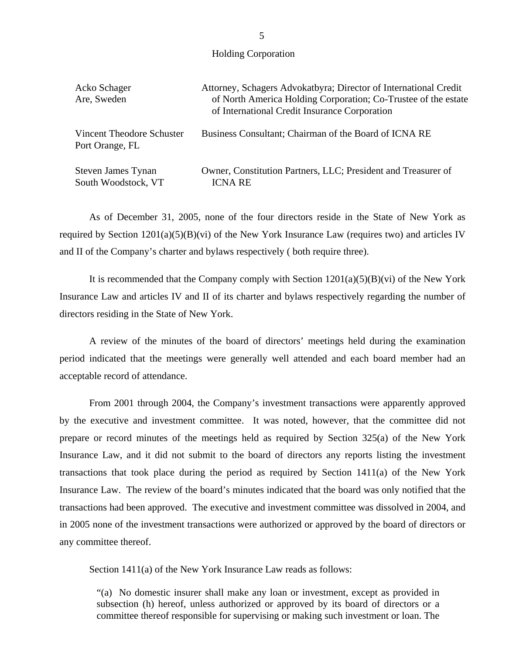Holding Corporation

| Acko Schager<br>Are, Sweden                  | Attorney, Schagers Advokatbyra; Director of International Credit<br>of North America Holding Corporation; Co-Trustee of the estate<br>of International Credit Insurance Corporation |
|----------------------------------------------|-------------------------------------------------------------------------------------------------------------------------------------------------------------------------------------|
| Vincent Theodore Schuster<br>Port Orange, FL | Business Consultant; Chairman of the Board of ICNA RE                                                                                                                               |
| Steven James Tynan<br>South Woodstock, VT    | Owner, Constitution Partners, LLC; President and Treasurer of<br>ICNA RE                                                                                                            |

As of December 31, 2005, none of the four directors reside in the State of New York as required by Section 1201(a)(5)(B)(vi) of the New York Insurance Law (requires two) and articles IV and II of the Company's charter and bylaws respectively ( both require three).

It is recommended that the Company comply with Section  $1201(a)(5)(B)(vi)$  of the New York Insurance Law and articles IV and II of its charter and bylaws respectively regarding the number of directors residing in the State of New York.

A review of the minutes of the board of directors' meetings held during the examination period indicated that the meetings were generally well attended and each board member had an acceptable record of attendance.

From 2001 through 2004, the Company's investment transactions were apparently approved by the executive and investment committee. It was noted, however, that the committee did not prepare or record minutes of the meetings held as required by Section 325(a) of the New York Insurance Law, and it did not submit to the board of directors any reports listing the investment transactions that took place during the period as required by Section 1411(a) of the New York Insurance Law. The review of the board's minutes indicated that the board was only notified that the transactions had been approved. The executive and investment committee was dissolved in 2004, and in 2005 none of the investment transactions were authorized or approved by the board of directors or any committee thereof.

Section 1411(a) of the New York Insurance Law reads as follows:

"(a) No domestic insurer shall make any loan or investment, except as provided in subsection (h) hereof, unless authorized or approved by its board of directors or a committee thereof responsible for supervising or making such investment or loan. The

5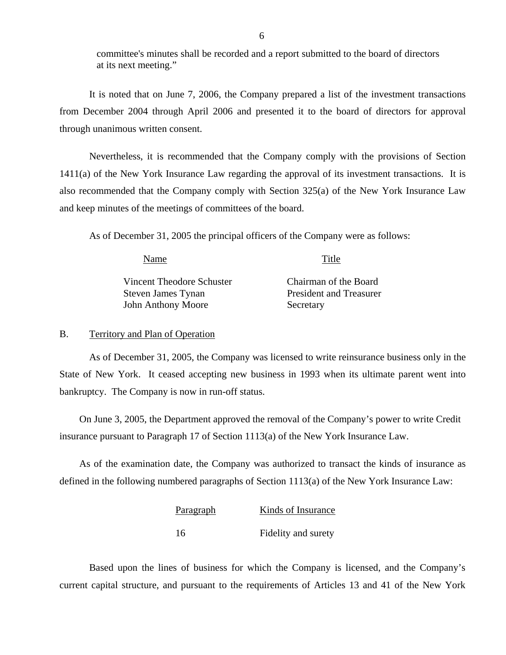committee's minutes shall be recorded and a report submitted to the board of directors at its next meeting."

It is noted that on June 7, 2006, the Company prepared a list of the investment transactions from December 2004 through April 2006 and presented it to the board of directors for approval through unanimous written consent.

Nevertheless, it is recommended that the Company comply with the provisions of Section 1411(a) of the New York Insurance Law regarding the approval of its investment transactions. It is also recommended that the Company comply with Section 325(a) of the New York Insurance Law and keep minutes of the meetings of committees of the board.

As of December 31, 2005 the principal officers of the Company were as follows:

| Name                      | Title                          |
|---------------------------|--------------------------------|
| Vincent Theodore Schuster | Chairman of the Board          |
| Steven James Tynan        | <b>President and Treasurer</b> |
| <b>John Anthony Moore</b> | Secretary                      |

#### B. Territory and Plan of Operation

As of December 31, 2005, the Company was licensed to write reinsurance business only in the State of New York. It ceased accepting new business in 1993 when its ultimate parent went into bankruptcy. The Company is now in run-off status.

On June 3, 2005, the Department approved the removal of the Company's power to write Credit insurance pursuant to Paragraph 17 of Section 1113(a) of the New York Insurance Law.

As of the examination date, the Company was authorized to transact the kinds of insurance as defined in the following numbered paragraphs of Section 1113(a) of the New York Insurance Law:

| <b>Paragraph</b> | Kinds of Insurance  |
|------------------|---------------------|
| 16               | Fidelity and surety |

Based upon the lines of business for which the Company is licensed, and the Company's current capital structure, and pursuant to the requirements of Articles 13 and 41 of the New York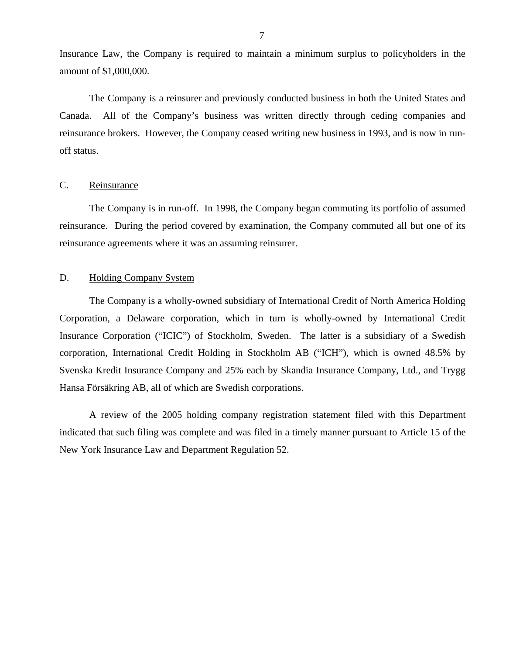<span id="page-9-0"></span>Insurance Law, the Company is required to maintain a minimum surplus to policyholders in the amount of \$1,000,000.

The Company is a reinsurer and previously conducted business in both the United States and Canada. All of the Company's business was written directly through ceding companies and reinsurance brokers. However, the Company ceased writing new business in 1993, and is now in runoff status.

#### C. Reinsurance

The Company is in run-off. In 1998, the Company began commuting its portfolio of assumed reinsurance. During the period covered by examination, the Company commuted all but one of its reinsurance agreements where it was an assuming reinsurer.

### D. Holding Company System

The Company is a wholly-owned subsidiary of International Credit of North America Holding Corporation, a Delaware corporation, which in turn is wholly-owned by International Credit Insurance Corporation ("ICIC") of Stockholm, Sweden. The latter is a subsidiary of a Swedish corporation, International Credit Holding in Stockholm AB ("ICH"), which is owned 48.5% by Svenska Kredit Insurance Company and 25% each by Skandia Insurance Company, Ltd., and Trygg Hansa Försäkring AB, all of which are Swedish corporations.

A review of the 2005 holding company registration statement filed with this Department indicated that such filing was complete and was filed in a timely manner pursuant to Article 15 of the New York Insurance Law and Department Regulation 52.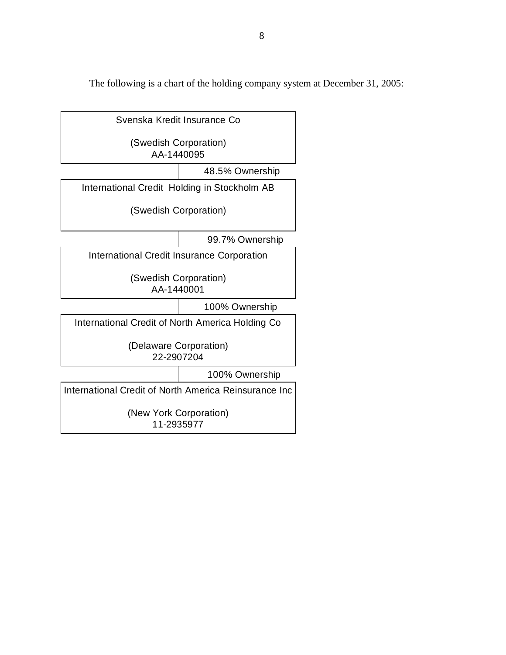The following is a chart of the holding company system at December 31, 2005:

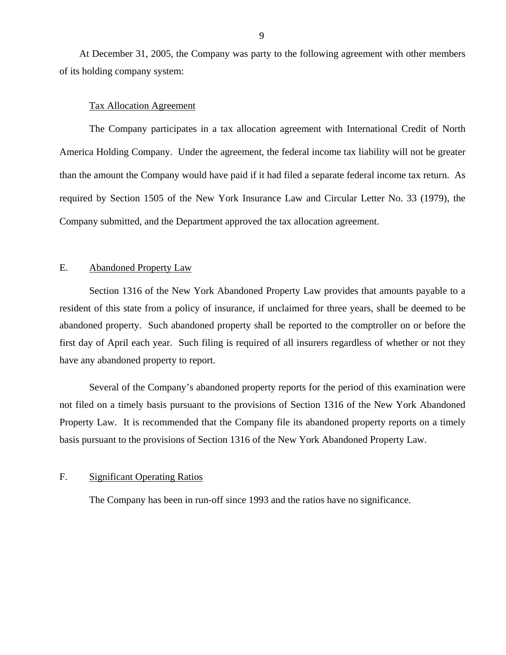<span id="page-11-0"></span>At December 31, 2005, the Company was party to the following agreement with other members of its holding company system:

#### Tax Allocation Agreement

The Company participates in a tax allocation agreement with International Credit of North America Holding Company. Under the agreement, the federal income tax liability will not be greater than the amount the Company would have paid if it had filed a separate federal income tax return. As required by Section 1505 of the New York Insurance Law and Circular Letter No. 33 (1979), the Company submitted, and the Department approved the tax allocation agreement.

#### E. Abandoned Property Law

Section 1316 of the New York Abandoned Property Law provides that amounts payable to a resident of this state from a policy of insurance, if unclaimed for three years, shall be deemed to be abandoned property. Such abandoned property shall be reported to the comptroller on or before the first day of April each year. Such filing is required of all insurers regardless of whether or not they have any abandoned property to report.

Several of the Company's abandoned property reports for the period of this examination were not filed on a timely basis pursuant to the provisions of Section 1316 of the New York Abandoned Property Law. It is recommended that the Company file its abandoned property reports on a timely basis pursuant to the provisions of Section 1316 of the New York Abandoned Property Law.

#### F. Significant Operating Ratios

The Company has been in run-off since 1993 and the ratios have no significance.

9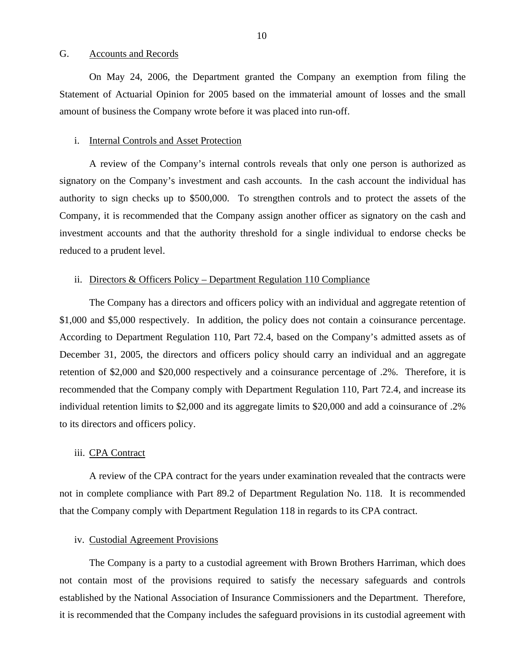#### <span id="page-12-0"></span>G. Accounts and Records

On May 24, 2006, the Department granted the Company an exemption from filing the Statement of Actuarial Opinion for 2005 based on the immaterial amount of losses and the small amount of business the Company wrote before it was placed into run-off.

#### i. Internal Controls and Asset Protection

A review of the Company's internal controls reveals that only one person is authorized as signatory on the Company's investment and cash accounts. In the cash account the individual has authority to sign checks up to \$500,000. To strengthen controls and to protect the assets of the Company, it is recommended that the Company assign another officer as signatory on the cash and investment accounts and that the authority threshold for a single individual to endorse checks be reduced to a prudent level.

#### ii. Directors & Officers Policy – Department Regulation 110 Compliance

The Company has a directors and officers policy with an individual and aggregate retention of \$1,000 and \$5,000 respectively. In addition, the policy does not contain a coinsurance percentage. According to Department Regulation 110, Part 72.4, based on the Company's admitted assets as of December 31, 2005, the directors and officers policy should carry an individual and an aggregate retention of \$2,000 and \$20,000 respectively and a coinsurance percentage of .2%. Therefore, it is recommended that the Company comply with Department Regulation 110, Part 72.4, and increase its individual retention limits to \$2,000 and its aggregate limits to \$20,000 and add a coinsurance of .2% to its directors and officers policy.

#### iii. CPA Contract

A review of the CPA contract for the years under examination revealed that the contracts were not in complete compliance with Part 89.2 of Department Regulation No. 118. It is recommended that the Company comply with Department Regulation 118 in regards to its CPA contract.

#### iv. Custodial Agreement Provisions

The Company is a party to a custodial agreement with Brown Brothers Harriman, which does not contain most of the provisions required to satisfy the necessary safeguards and controls established by the National Association of Insurance Commissioners and the Department. Therefore, it is recommended that the Company includes the safeguard provisions in its custodial agreement with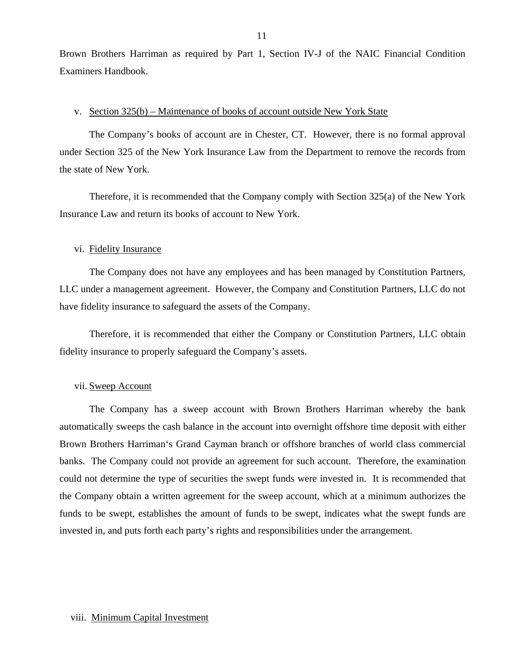Brown Brothers Harriman as required by Part 1, Section IV-J of the NAIC Financial Condition Examiners Handbook.

#### v. Section 325(b) – Maintenance of books of account outside New York State

The Company's books of account are in Chester, CT. However, there is no formal approval under Section 325 of the New York Insurance Law from the Department to remove the records from the state of New York.

Therefore, it is recommended that the Company comply with Section 325(a) of the New York Insurance Law and return its books of account to New York.

#### vi. Fidelity Insurance

The Company does not have any employees and has been managed by Constitution Partners, LLC under a management agreement. However, the Company and Constitution Partners, LLC do not have fidelity insurance to safeguard the assets of the Company.

Therefore, it is recommended that either the Company or Constitution Partners, LLC obtain fidelity insurance to properly safeguard the Company's assets.

#### vii. Sweep Account

The Company has a sweep account with Brown Brothers Harriman whereby the bank automatically sweeps the cash balance in the account into overnight offshore time deposit with either Brown Brothers Harriman's Grand Cayman branch or offshore branches of world class commercial banks. The Company could not provide an agreement for such account. Therefore, the examination could not determine the type of securities the swept funds were invested in. It is recommended that the Company obtain a written agreement for the sweep account, which at a minimum authorizes the funds to be swept, establishes the amount of funds to be swept, indicates what the swept funds are invested in, and puts forth each party's rights and responsibilities under the arrangement.

#### 11

### viii. Minimum Capital Investment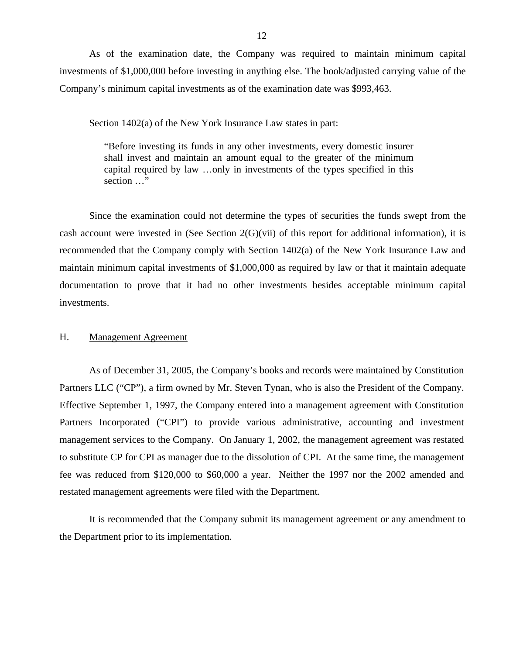<span id="page-14-0"></span>As of the examination date, the Company was required to maintain minimum capital investments of \$1,000,000 before investing in anything else. The book/adjusted carrying value of the Company's minimum capital investments as of the examination date was \$993,463.

Section 1402(a) of the New York Insurance Law states in part:

"Before investing its funds in any other investments, every domestic insurer shall invest and maintain an amount equal to the greater of the minimum capital required by law …only in investments of the types specified in this section …"

Since the examination could not determine the types of securities the funds swept from the cash account were invested in (See Section 2(G)(vii) of this report for additional information), it is recommended that the Company comply with Section 1402(a) of the New York Insurance Law and maintain minimum capital investments of \$1,000,000 as required by law or that it maintain adequate documentation to prove that it had no other investments besides acceptable minimum capital investments.

### H. Management Agreement

As of December 31, 2005, the Company's books and records were maintained by Constitution Partners LLC ("CP"), a firm owned by Mr. Steven Tynan, who is also the President of the Company. Effective September 1, 1997, the Company entered into a management agreement with Constitution Partners Incorporated ("CPI") to provide various administrative, accounting and investment management services to the Company. On January 1, 2002, the management agreement was restated to substitute CP for CPI as manager due to the dissolution of CPI. At the same time, the management fee was reduced from \$120,000 to \$60,000 a year. Neither the 1997 nor the 2002 amended and restated management agreements were filed with the Department.

It is recommended that the Company submit its management agreement or any amendment to the Department prior to its implementation.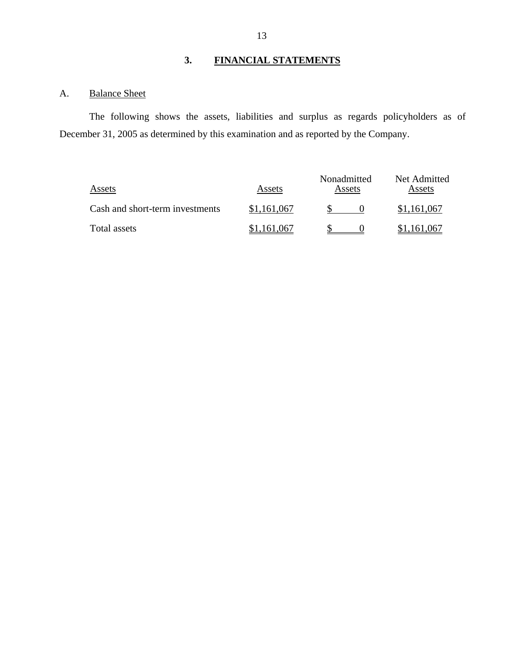# **3. FINANCIAL STATEMENTS**

# A. Balance Sheet

The following shows the assets, liabilities and surplus as regards policyholders as of December 31, 2005 as determined by this examination and as reported by the Company.

| Assets                          | Assets      | Nonadmitted<br>Assets | Net Admitted<br>Assets |
|---------------------------------|-------------|-----------------------|------------------------|
| Cash and short-term investments | \$1,161,067 |                       | \$1,161,067            |
| Total assets                    | \$1,161,067 |                       | \$1,161,067            |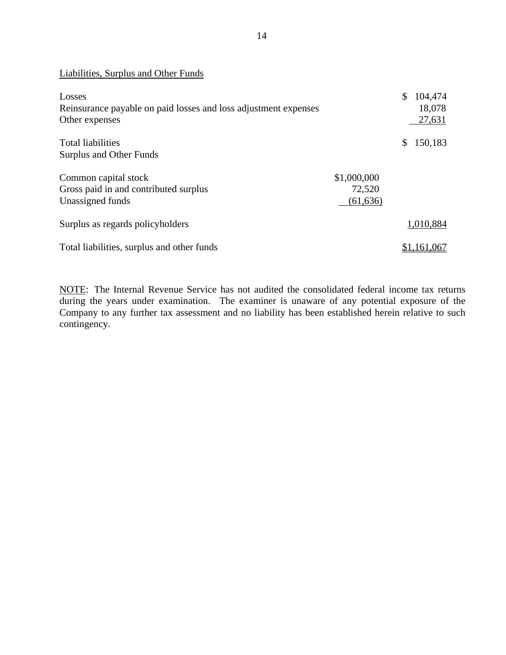| Liabilities, Surplus and Other Funds                                                        |                                    |                                             |
|---------------------------------------------------------------------------------------------|------------------------------------|---------------------------------------------|
| Losses<br>Reinsurance payable on paid losses and loss adjustment expenses<br>Other expenses |                                    | $\mathbb{S}$<br>104,474<br>18,078<br>27,631 |
| <b>Total liabilities</b><br>Surplus and Other Funds                                         |                                    | 150,183<br>\$                               |
| Common capital stock<br>Gross paid in and contributed surplus<br>Unassigned funds           | \$1,000,000<br>72,520<br>(61, 636) |                                             |
| Surplus as regards policyholders                                                            |                                    | 1,010,884                                   |
| Total liabilities, surplus and other funds                                                  |                                    | \$1,161,067                                 |

NOTE: The Internal Revenue Service has not audited the consolidated federal income tax returns during the years under examination. The examiner is unaware of any potential exposure of the Company to any further tax assessment and no liability has been established herein relative to such contingency.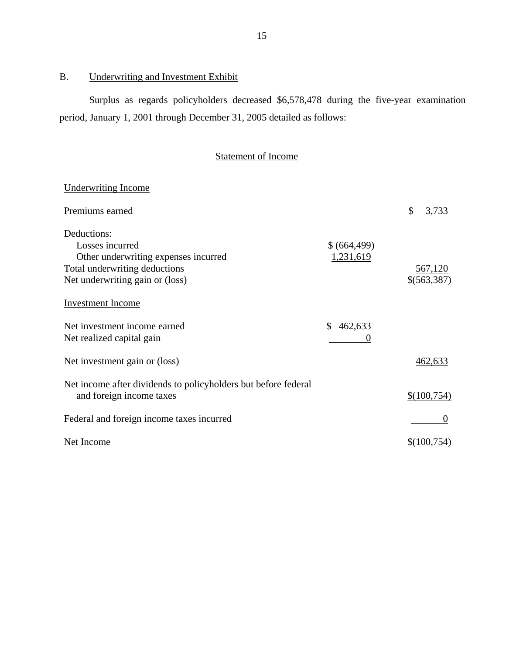# B. Underwriting and Investment Exhibit

Surplus as regards policyholders decreased \$6,578,478 during the five-year examination period, January 1, 2001 through December 31, 2005 detailed as follows:

# Statement of Income

| Underwriting Income                                            |             |                |
|----------------------------------------------------------------|-------------|----------------|
| Premiums earned                                                |             | \$<br>3,733    |
| Deductions:                                                    |             |                |
| Losses incurred                                                | \$(664,499) |                |
| Other underwriting expenses incurred                           | 1,231,619   |                |
| Total underwriting deductions                                  |             | <u>567,120</u> |
| Net underwriting gain or (loss)                                |             | \$(563,387)    |
| <b>Investment Income</b>                                       |             |                |
| Net investment income earned                                   | \$462,633   |                |
| Net realized capital gain                                      | $\theta$    |                |
| Net investment gain or (loss)                                  |             | 462,633        |
| Net income after dividends to policyholders but before federal |             |                |
| and foreign income taxes                                       |             | \$(100,754)    |
| Federal and foreign income taxes incurred                      |             | 0              |
| Net Income                                                     |             | \$(100.754)    |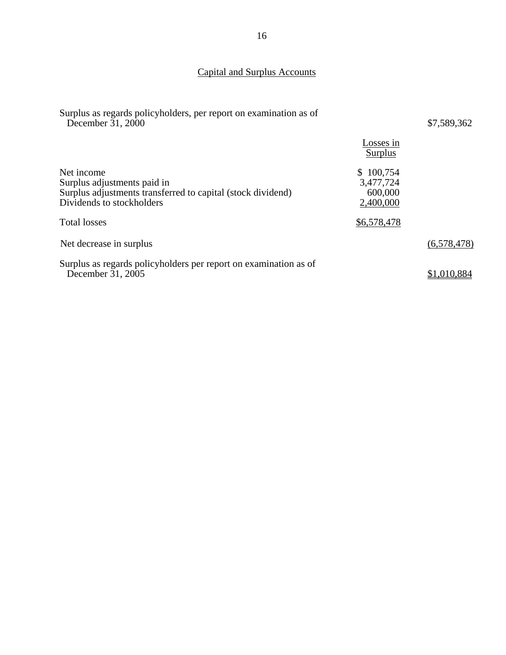# Capital and Surplus Accounts

| Surplus as regards policyholders, per report on examination as of<br>December 31, 2000                                                |                                                | \$7,589,362 |
|---------------------------------------------------------------------------------------------------------------------------------------|------------------------------------------------|-------------|
|                                                                                                                                       | Losses in<br>Surplus                           |             |
| Net income<br>Surplus adjustments paid in<br>Surplus adjustments transferred to capital (stock dividend)<br>Dividends to stockholders | \$100,754<br>3,477,724<br>600,000<br>2,400,000 |             |
| <b>Total losses</b>                                                                                                                   | \$6,578,478                                    |             |
| Net decrease in surplus                                                                                                               |                                                | (6,578,478) |
| Surplus as regards policyholders per report on examination as of<br>December 31, 2005                                                 |                                                | \$1,010,884 |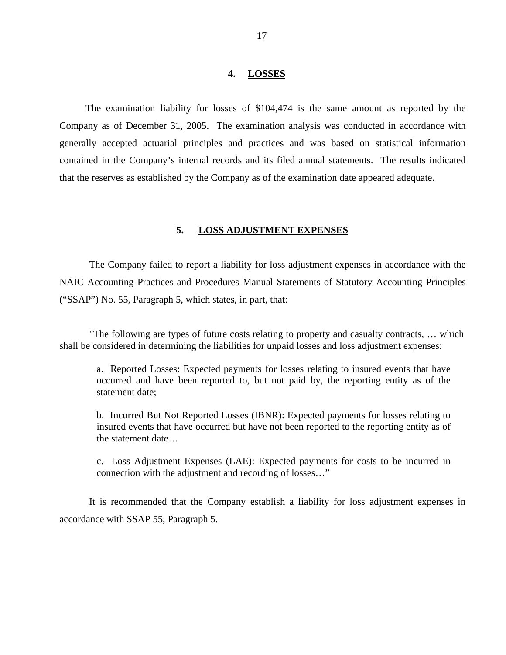#### **4. LOSSES**

<span id="page-19-0"></span>The examination liability for losses of \$104,474 is the same amount as reported by the Company as of December 31, 2005. The examination analysis was conducted in accordance with generally accepted actuarial principles and practices and was based on statistical information contained in the Company's internal records and its filed annual statements. The results indicated that the reserves as established by the Company as of the examination date appeared adequate.

#### **5. LOSS ADJUSTMENT EXPENSES**

The Company failed to report a liability for loss adjustment expenses in accordance with the NAIC Accounting Practices and Procedures Manual Statements of Statutory Accounting Principles ("SSAP") No. 55, Paragraph 5, which states, in part, that:

"The following are types of future costs relating to property and casualty contracts, … which shall be considered in determining the liabilities for unpaid losses and loss adjustment expenses:

a. Reported Losses: Expected payments for losses relating to insured events that have occurred and have been reported to, but not paid by, the reporting entity as of the statement date;

b. Incurred But Not Reported Losses (IBNR): Expected payments for losses relating to insured events that have occurred but have not been reported to the reporting entity as of the statement date…

c. Loss Adjustment Expenses (LAE): Expected payments for costs to be incurred in connection with the adjustment and recording of losses…"

It is recommended that the Company establish a liability for loss adjustment expenses in accordance with SSAP 55, Paragraph 5.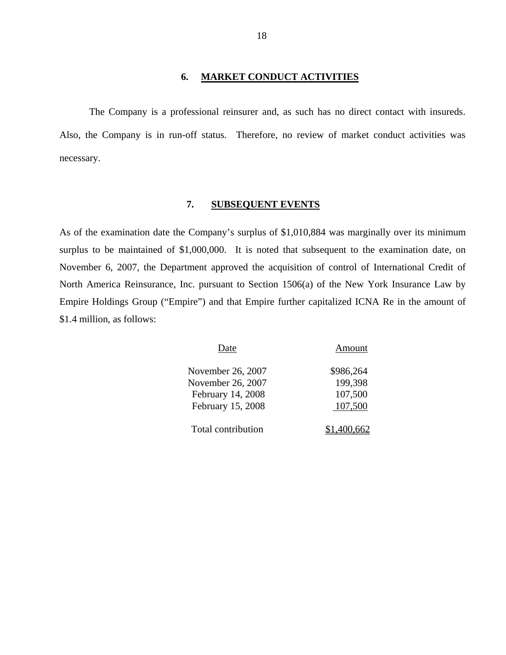### **6. MARKET CONDUCT ACTIVITIES**

The Company is a professional reinsurer and, as such has no direct contact with insureds. Also, the Company is in run-off status. Therefore, no review of market conduct activities was necessary.

### **7. SUBSEQUENT EVENTS**

As of the examination date the Company's surplus of \$1,010,884 was marginally over its minimum surplus to be maintained of \$1,000,000. It is noted that subsequent to the examination date, on November 6, 2007, the Department approved the acquisition of control of International Credit of North America Reinsurance, Inc. pursuant to Section 1506(a) of the New York Insurance Law by Empire Holdings Group ("Empire") and that Empire further capitalized ICNA Re in the amount of \$1.4 million, as follows:

| Date               | Amount    |
|--------------------|-----------|
| November 26, 2007  | \$986,264 |
| November 26, 2007  | 199,398   |
| February 14, 2008  | 107,500   |
| February 15, 2008  | 107,500   |
| Total contribution |           |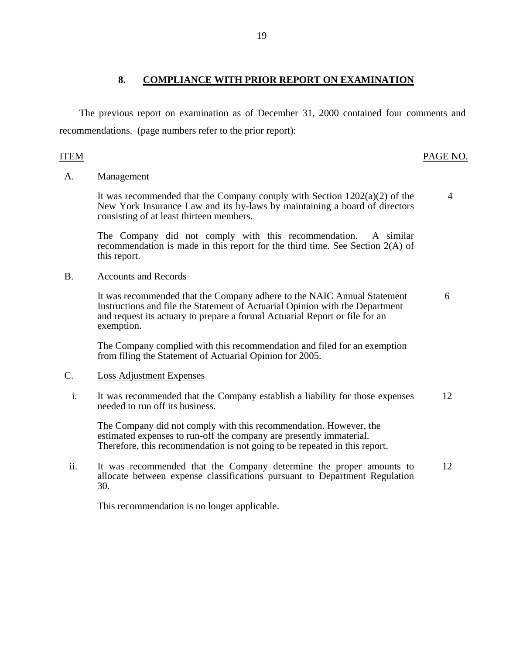The previous report on examination as of December 31, 2000 contained four comments and recommendations. (page numbers refer to the prior report):

## **ITEM**

## ITEM PAGE NO.

4

### A. Management

It was recommended that the Company comply with Section  $1202(a)(2)$  of the New York Insurance Law and its by-laws by maintaining a board of directors consisting of at least thirteen members.

The Company did not comply with this recommendation. A similar recommendation is made in this report for the third time. See Section 2(A) of this report.

### B. Accounts and Records

It was recommended that the Company adhere to the NAIC Annual Statement Instructions and file the Statement of Actuarial Opinion with the Department and request its actuary to prepare a formal Actuarial Report or file for an exemption. 6

The Company complied with this recommendation and filed for an exemption from filing the Statement of Actuarial Opinion for 2005.

## **Loss Adjustment Expenses**

C. Loss Adjustment Expenses<br>i. It was recommended that the Company establish a liability for those expenses needed to run off its business. 12

The Company did not comply with this recommendation. However, the estimated expenses to run-off the company are presently immaterial. Therefore, this recommendation is not going to be repeated in this report.

ii. It was recommended that the Company determine the proper amounts to allocate between expense classifications pursuant to Department Regulation 30. 12

This recommendation is no longer applicable.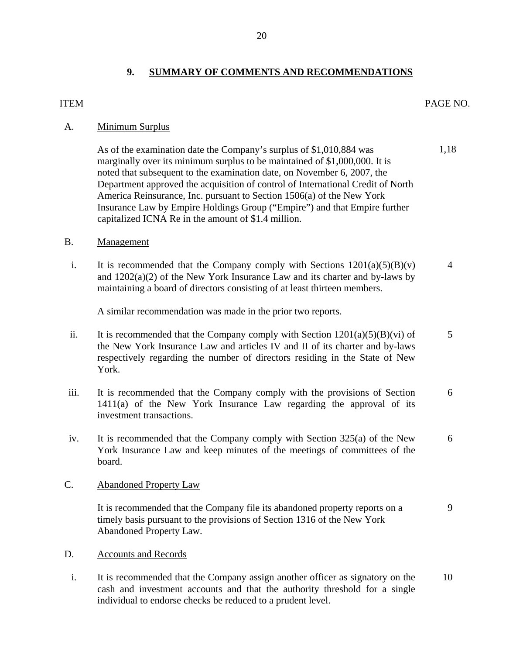# **9. SUMMARY OF COMMENTS AND RECOMMENDATIONS**

## <span id="page-22-0"></span>ITEM

### PAGE NO.

1,18

## A. Minimum Surplus

As of the examination date the Company's surplus of \$1,010,884 was marginally over its minimum surplus to be maintained of \$1,000,000. It is noted that subsequent to the examination date, on November 6, 2007, the Department approved the acquisition of control of International Credit of North America Reinsurance, Inc. pursuant to Section 1506(a) of the New York Insurance Law by Empire Holdings Group ("Empire") and that Empire further capitalized ICNA Re in the amount of \$1.4 million.

## Management

B. Management<br>i. It is recommended that the Company comply with Sections  $1201(a)(5)(B)(v)$ and 1202(a)(2) of the New York Insurance Law and its charter and by-laws by maintaining a board of directors consisting of at least thirteen members. 4

A similar recommendation was made in the prior two reports.

- ii. It is recommended that the Company comply with Section  $1201(a)(5)(B)(vi)$  of the New York Insurance Law and articles IV and II of its charter and by-laws respectively regarding the number of directors residing in the State of New York. 5
- iii. It is recommended that the Company comply with the provisions of Section 1411(a) of the New York Insurance Law regarding the approval of its investment transactions. 6
- iv. It is recommended that the Company comply with Section 325(a) of the New York Insurance Law and keep minutes of the meetings of committees of the board. 6

## C. Abandoned Property Law

It is recommended that the Company file its abandoned property reports on a timely basis pursuant to the provisions of Section 1316 of the New York Abandoned Property Law. 9

- **Accounts and Records**
- D. Accounts and Records<br>i. It is recommended that the Company assign another officer as signatory on the cash and investment accounts and that the authority threshold for a single individual to endorse checks be reduced to a prudent level. 10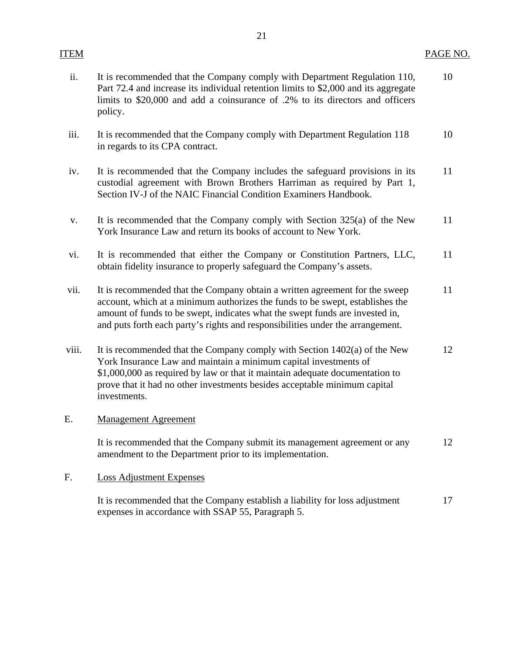### ITEM PAGE NO.

| ii. | It is recommended that the Company comply with Department Regulation 110,<br>Part 72.4 and increase its individual retention limits to \$2,000 and its aggregate<br>limits to \$20,000 and add a coinsurance of .2% to its directors and officers | 10 |
|-----|---------------------------------------------------------------------------------------------------------------------------------------------------------------------------------------------------------------------------------------------------|----|
|     | policy.                                                                                                                                                                                                                                           |    |

- iii. It is recommended that the Company comply with Department Regulation 118 10 in regards to its CPA contract.
- iv. It is recommended that the Company includes the safeguard provisions in its 11 custodial agreement with Brown Brothers Harriman as required by Part 1, Section IV-J of the NAIC Financial Condition Examiners Handbook.
- v. It is recommended that the Company comply with Section 325(a) of the New 11 York Insurance Law and return its books of account to New York.
- vi. It is recommended that either the Company or Constitution Partners, LLC, 11 obtain fidelity insurance to properly safeguard the Company's assets.
- vii. It is recommended that the Company obtain a written agreement for the sweep 11 account, which at a minimum authorizes the funds to be swept, establishes the amount of funds to be swept, indicates what the swept funds are invested in, and puts forth each party's rights and responsibilities under the arrangement.
- viii. It is recommended that the Company comply with Section 1402(a) of the New 12 York Insurance Law and maintain a minimum capital investments of \$1,000,000 as required by law or that it maintain adequate documentation to prove that it had no other investments besides acceptable minimum capital investments.

## E. Management Agreement

It is recommended that the Company submit its management agreement or any 12 amendment to the Department prior to its implementation.

### F. Loss Adjustment Expenses

It is recommended that the Company establish a liability for loss adjustment 17 expenses in accordance with SSAP 55, Paragraph 5.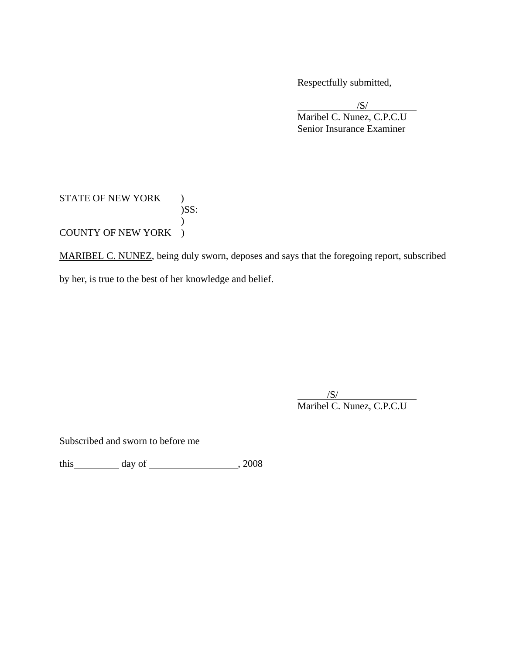Respectfully submitted,

 $/S/$  Maribel C. Nunez, C.P.C.U Senior Insurance Examiner  $\sqrt{S}$ 

# STATE OF NEW YORK )  $)$ SS:  $\mathcal{L}$ COUNTY OF NEW YORK )

MARIBEL C. NUNEZ, being duly sworn, deposes and says that the foregoing report, subscribed by her, is true to the best of her knowledge and belief.

 $\overline{\phantom{a}}$  $\overline{\phantom{a}}$ /S/ Maribel C. Nunez, C.P.C.U

Subscribed and sworn to before me

 $\frac{1}{\text{this}}$  day of  $\frac{1}{\text{this}}$ , 2008